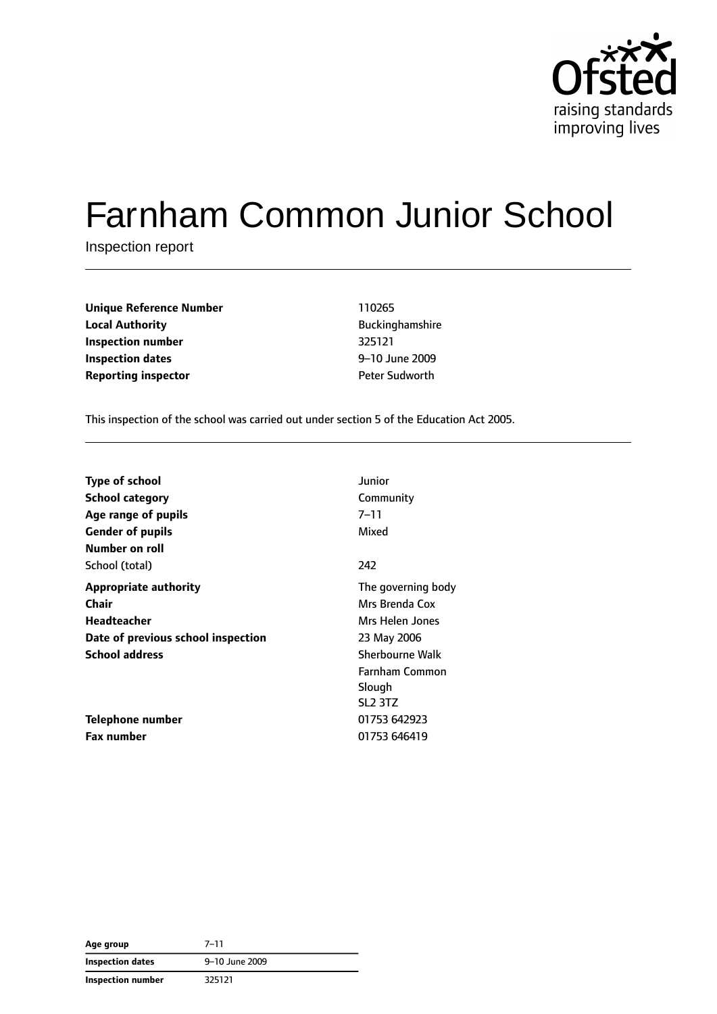

# Farnham Common Junior School

Inspection report

**Unique Reference Number** 110265 **Local Authority Buckinghamshire Inspection number** 325121 **Inspection dates** 9–10 June 2009 **Reporting inspector CONFIDENTIFY REPORTING PETER Sudworth** 

This inspection of the school was carried out under section 5 of the Education Act 2005.

| <b>Type of school</b>              | Junior                          |
|------------------------------------|---------------------------------|
| <b>School category</b>             | Community                       |
| Age range of pupils                | $7 - 11$                        |
| <b>Gender of pupils</b>            | Mixed                           |
| Number on roll                     |                                 |
| School (total)                     | 242                             |
| <b>Appropriate authority</b>       | The governing body              |
| Chair                              | Mrs Brenda Cox                  |
| Headteacher                        | Mrs Helen Jones                 |
| Date of previous school inspection | 23 May 2006                     |
| <b>School address</b>              | <b>Sherbourne Walk</b>          |
|                                    | Farnham Common                  |
|                                    | Slough                          |
|                                    | SL <sub>2</sub> 3T <sub>Z</sub> |
| Telephone number                   | 01753 642923                    |
| <b>Fax number</b>                  | 01753 646419                    |

| Age group                | $7 - 11$       |
|--------------------------|----------------|
| Inspection dates         | 9-10 June 2009 |
| <b>Inspection number</b> | 325121         |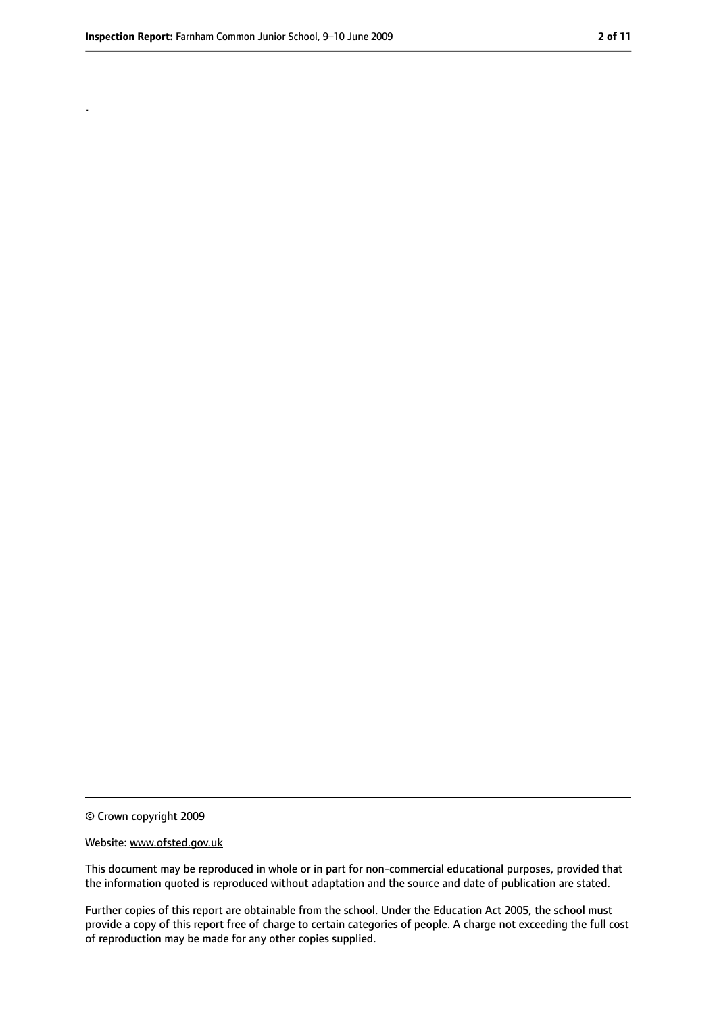.

<sup>©</sup> Crown copyright 2009

Website: www.ofsted.gov.uk

This document may be reproduced in whole or in part for non-commercial educational purposes, provided that the information quoted is reproduced without adaptation and the source and date of publication are stated.

Further copies of this report are obtainable from the school. Under the Education Act 2005, the school must provide a copy of this report free of charge to certain categories of people. A charge not exceeding the full cost of reproduction may be made for any other copies supplied.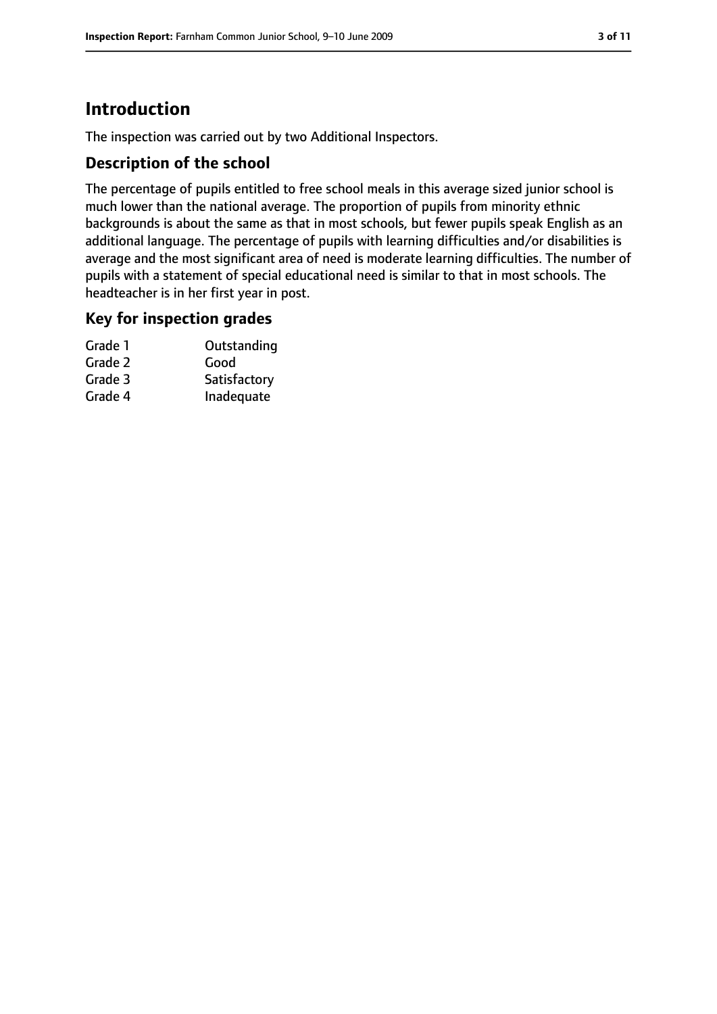# **Introduction**

The inspection was carried out by two Additional Inspectors.

#### **Description of the school**

The percentage of pupils entitled to free school meals in this average sized junior school is much lower than the national average. The proportion of pupils from minority ethnic backgrounds is about the same as that in most schools, but fewer pupils speak English as an additional language. The percentage of pupils with learning difficulties and/or disabilities is average and the most significant area of need is moderate learning difficulties. The number of pupils with a statement of special educational need is similar to that in most schools. The headteacher is in her first year in post.

#### **Key for inspection grades**

| Grade 1 | Outstanding  |
|---------|--------------|
| Grade 2 | Good         |
| Grade 3 | Satisfactory |
| Grade 4 | Inadequate   |
|         |              |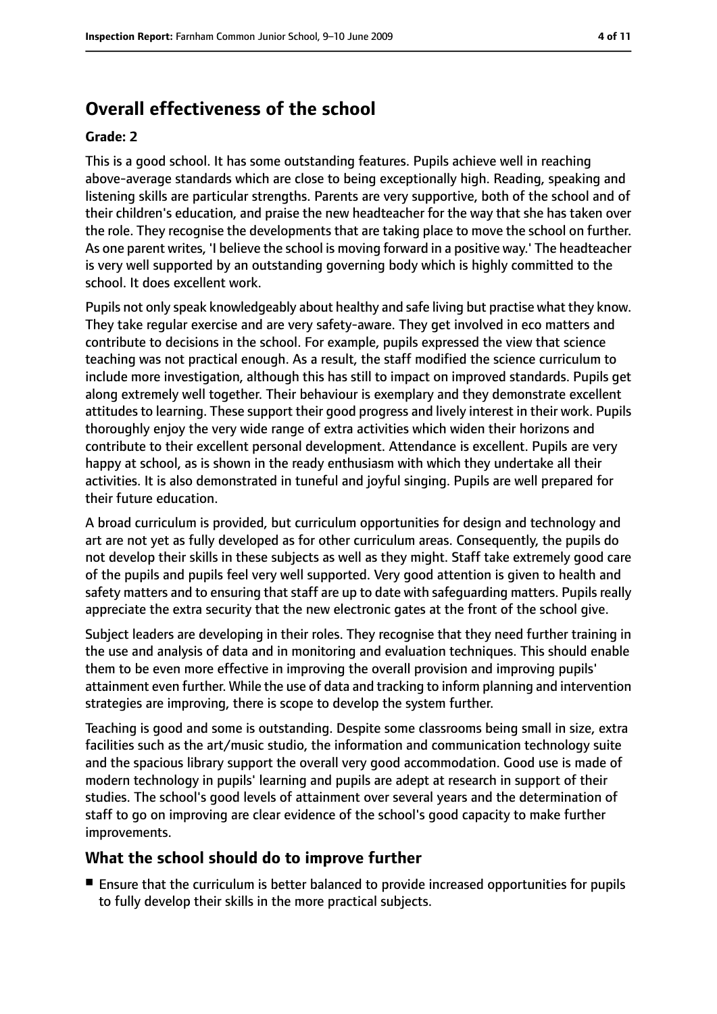# **Overall effectiveness of the school**

#### **Grade: 2**

This is a good school. It has some outstanding features. Pupils achieve well in reaching above-average standards which are close to being exceptionally high. Reading, speaking and listening skills are particular strengths. Parents are very supportive, both of the school and of their children's education, and praise the new headteacher for the way that she has taken over the role. They recognise the developments that are taking place to move the school on further. As one parent writes, 'I believe the school is moving forward in a positive way.' The headteacher is very well supported by an outstanding governing body which is highly committed to the school. It does excellent work.

Pupils not only speak knowledgeably about healthy and safe living but practise what they know. They take regular exercise and are very safety-aware. They get involved in eco matters and contribute to decisions in the school. For example, pupils expressed the view that science teaching was not practical enough. As a result, the staff modified the science curriculum to include more investigation, although this has still to impact on improved standards. Pupils get along extremely well together. Their behaviour is exemplary and they demonstrate excellent attitudes to learning. These support their good progress and lively interest in their work. Pupils thoroughly enjoy the very wide range of extra activities which widen their horizons and contribute to their excellent personal development. Attendance is excellent. Pupils are very happy at school, as is shown in the ready enthusiasm with which they undertake all their activities. It is also demonstrated in tuneful and joyful singing. Pupils are well prepared for their future education.

A broad curriculum is provided, but curriculum opportunities for design and technology and art are not yet as fully developed as for other curriculum areas. Consequently, the pupils do not develop their skills in these subjects as well as they might. Staff take extremely good care of the pupils and pupils feel very well supported. Very good attention is given to health and safety matters and to ensuring that staff are up to date with safeguarding matters. Pupils really appreciate the extra security that the new electronic gates at the front of the school give.

Subject leaders are developing in their roles. They recognise that they need further training in the use and analysis of data and in monitoring and evaluation techniques. This should enable them to be even more effective in improving the overall provision and improving pupils' attainment even further. While the use of data and tracking to inform planning and intervention strategies are improving, there is scope to develop the system further.

Teaching is good and some is outstanding. Despite some classrooms being small in size, extra facilities such as the art/music studio, the information and communication technology suite and the spacious library support the overall very good accommodation. Good use is made of modern technology in pupils' learning and pupils are adept at research in support of their studies. The school's good levels of attainment over several years and the determination of staff to go on improving are clear evidence of the school's good capacity to make further improvements.

#### **What the school should do to improve further**

■ Ensure that the curriculum is better balanced to provide increased opportunities for pupils to fully develop their skills in the more practical subjects.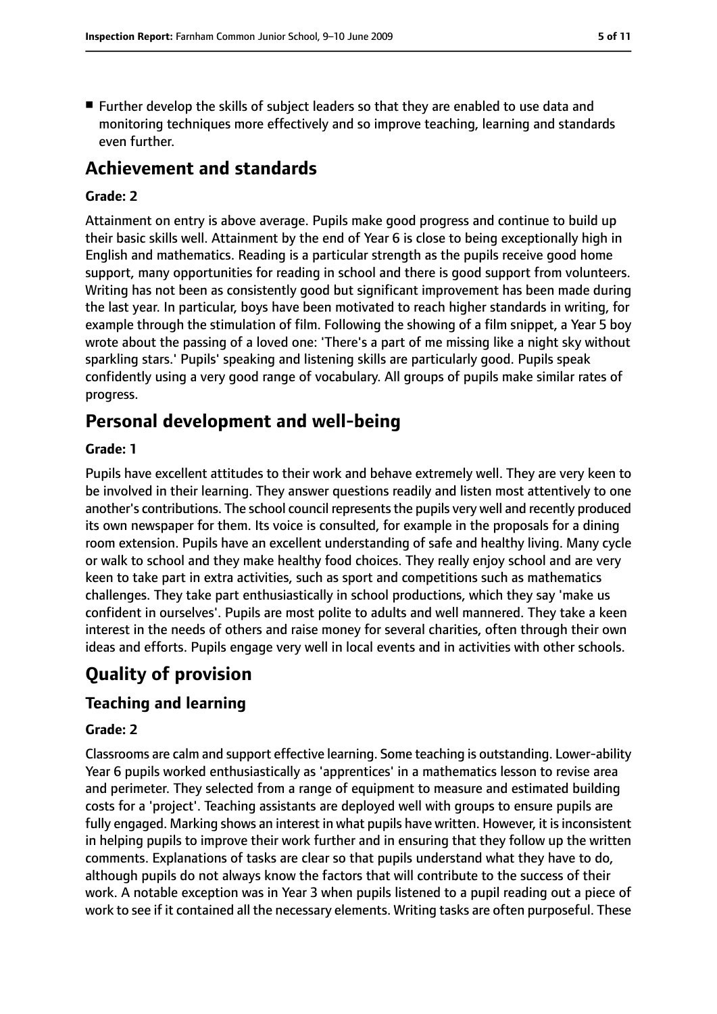■ Further develop the skills of subject leaders so that they are enabled to use data and monitoring techniques more effectively and so improve teaching, learning and standards even further.

# **Achievement and standards**

#### **Grade: 2**

Attainment on entry is above average. Pupils make good progress and continue to build up their basic skills well. Attainment by the end of Year 6 is close to being exceptionally high in English and mathematics. Reading is a particular strength as the pupils receive good home support, many opportunities for reading in school and there is good support from volunteers. Writing has not been as consistently good but significant improvement has been made during the last year. In particular, boys have been motivated to reach higher standards in writing, for example through the stimulation of film. Following the showing of a film snippet, a Year 5 boy wrote about the passing of a loved one: 'There's a part of me missing like a night sky without sparkling stars.' Pupils' speaking and listening skills are particularly good. Pupils speak confidently using a very good range of vocabulary. All groups of pupils make similar rates of progress.

# **Personal development and well-being**

#### **Grade: 1**

Pupils have excellent attitudes to their work and behave extremely well. They are very keen to be involved in their learning. They answer questions readily and listen most attentively to one another's contributions. The school council represents the pupils very well and recently produced its own newspaper for them. Its voice is consulted, for example in the proposals for a dining room extension. Pupils have an excellent understanding of safe and healthy living. Many cycle or walk to school and they make healthy food choices. They really enjoy school and are very keen to take part in extra activities, such as sport and competitions such as mathematics challenges. They take part enthusiastically in school productions, which they say 'make us confident in ourselves'. Pupils are most polite to adults and well mannered. They take a keen interest in the needs of others and raise money for several charities, often through their own ideas and efforts. Pupils engage very well in local events and in activities with other schools.

# **Quality of provision**

### **Teaching and learning**

#### **Grade: 2**

Classrooms are calm and support effective learning. Some teaching is outstanding. Lower-ability Year 6 pupils worked enthusiastically as 'apprentices' in a mathematics lesson to revise area and perimeter. They selected from a range of equipment to measure and estimated building costs for a 'project'. Teaching assistants are deployed well with groups to ensure pupils are fully engaged. Marking shows an interest in what pupils have written. However, it is inconsistent in helping pupils to improve their work further and in ensuring that they follow up the written comments. Explanations of tasks are clear so that pupils understand what they have to do, although pupils do not always know the factors that will contribute to the success of their work. A notable exception was in Year 3 when pupils listened to a pupil reading out a piece of work to see if it contained all the necessary elements. Writing tasks are often purposeful. These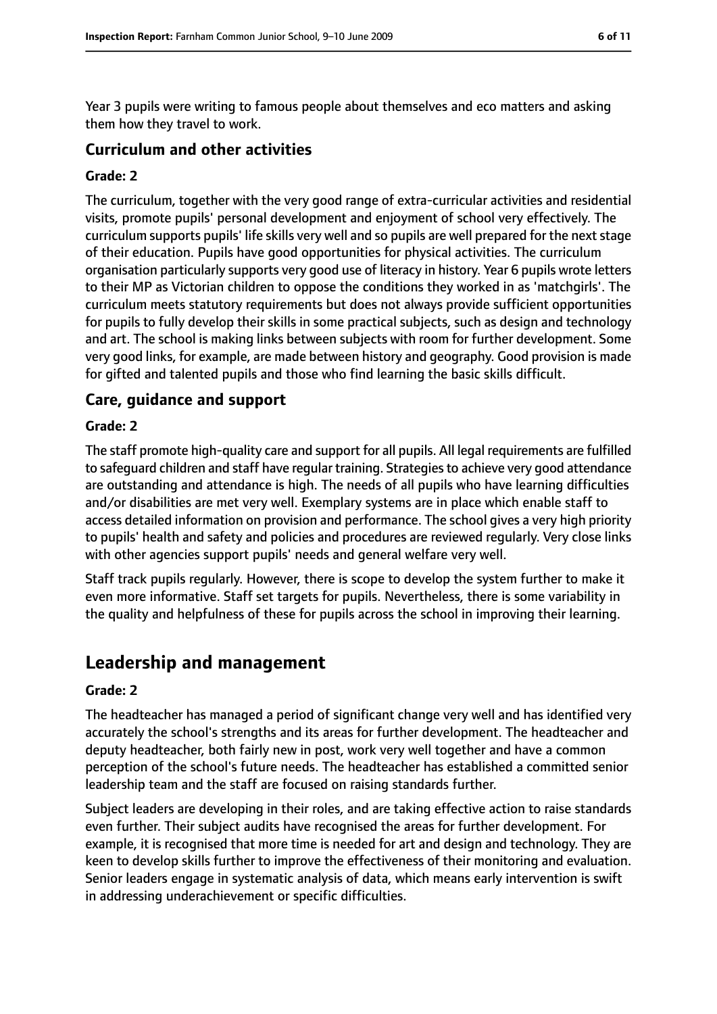Year 3 pupils were writing to famous people about themselves and eco matters and asking them how they travel to work.

#### **Curriculum and other activities**

#### **Grade: 2**

The curriculum, together with the very good range of extra-curricular activities and residential visits, promote pupils' personal development and enjoyment of school very effectively. The curriculum supports pupils' life skills very well and so pupils are well prepared for the next stage of their education. Pupils have good opportunities for physical activities. The curriculum organisation particularly supports very good use of literacy in history. Year 6 pupils wrote letters to their MP as Victorian children to oppose the conditions they worked in as 'matchgirls'. The curriculum meets statutory requirements but does not always provide sufficient opportunities for pupils to fully develop their skills in some practical subjects, such as design and technology and art. The school is making links between subjects with room for further development. Some very good links, for example, are made between history and geography. Good provision is made for gifted and talented pupils and those who find learning the basic skills difficult.

#### **Care, guidance and support**

#### **Grade: 2**

The staff promote high-quality care and support for all pupils. All legal requirements are fulfilled to safeguard children and staff have regular training. Strategies to achieve very good attendance are outstanding and attendance is high. The needs of all pupils who have learning difficulties and/or disabilities are met very well. Exemplary systems are in place which enable staff to access detailed information on provision and performance. The school gives a very high priority to pupils' health and safety and policies and procedures are reviewed regularly. Very close links with other agencies support pupils' needs and general welfare very well.

Staff track pupils regularly. However, there is scope to develop the system further to make it even more informative. Staff set targets for pupils. Nevertheless, there is some variability in the quality and helpfulness of these for pupils across the school in improving their learning.

# **Leadership and management**

#### **Grade: 2**

The headteacher has managed a period of significant change very well and has identified very accurately the school's strengths and its areas for further development. The headteacher and deputy headteacher, both fairly new in post, work very well together and have a common perception of the school's future needs. The headteacher has established a committed senior leadership team and the staff are focused on raising standards further.

Subject leaders are developing in their roles, and are taking effective action to raise standards even further. Their subject audits have recognised the areas for further development. For example, it is recognised that more time is needed for art and design and technology. They are keen to develop skills further to improve the effectiveness of their monitoring and evaluation. Senior leaders engage in systematic analysis of data, which means early intervention is swift in addressing underachievement or specific difficulties.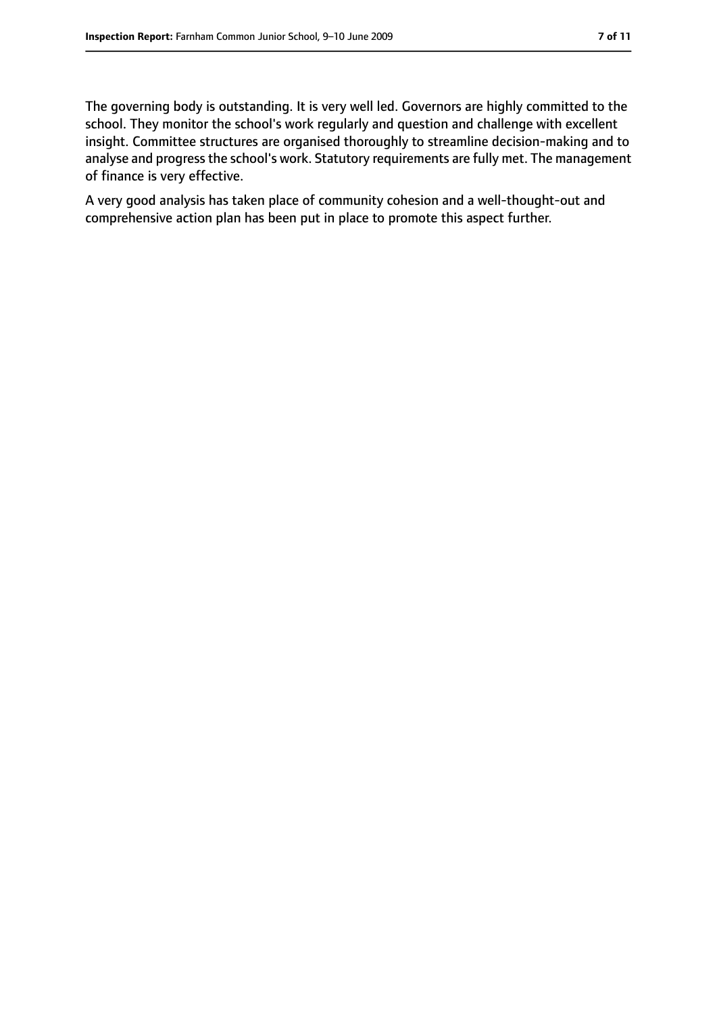The governing body is outstanding. It is very well led. Governors are highly committed to the school. They monitor the school's work regularly and question and challenge with excellent insight. Committee structures are organised thoroughly to streamline decision-making and to analyse and progress the school's work. Statutory requirements are fully met. The management of finance is very effective.

A very good analysis has taken place of community cohesion and a well-thought-out and comprehensive action plan has been put in place to promote this aspect further.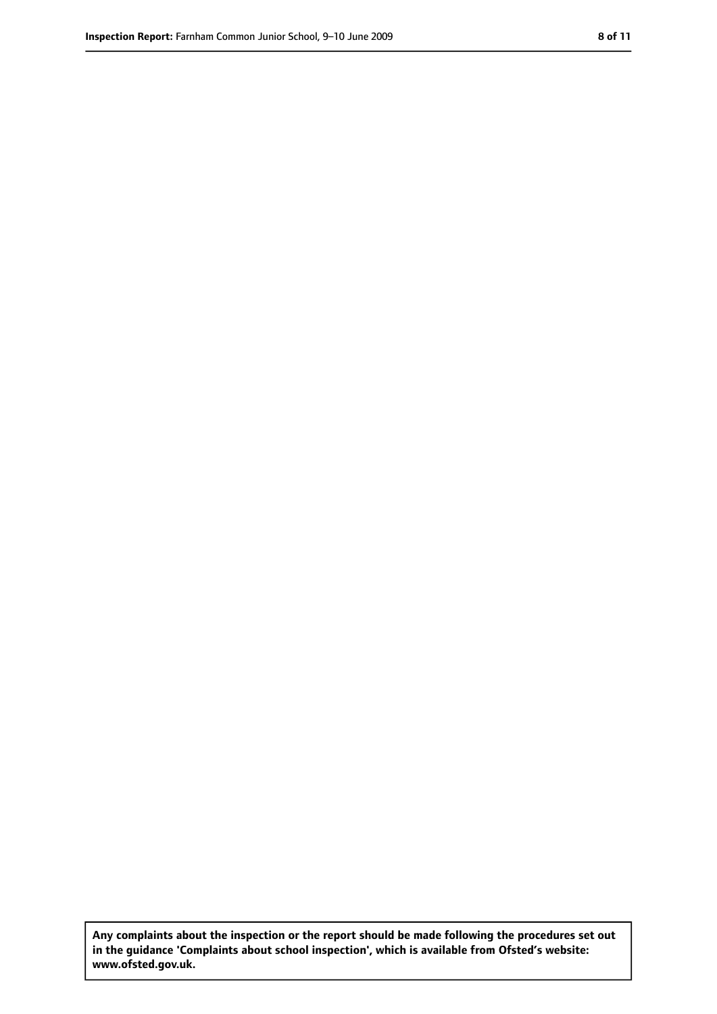**Any complaints about the inspection or the report should be made following the procedures set out in the guidance 'Complaints about school inspection', which is available from Ofsted's website: www.ofsted.gov.uk.**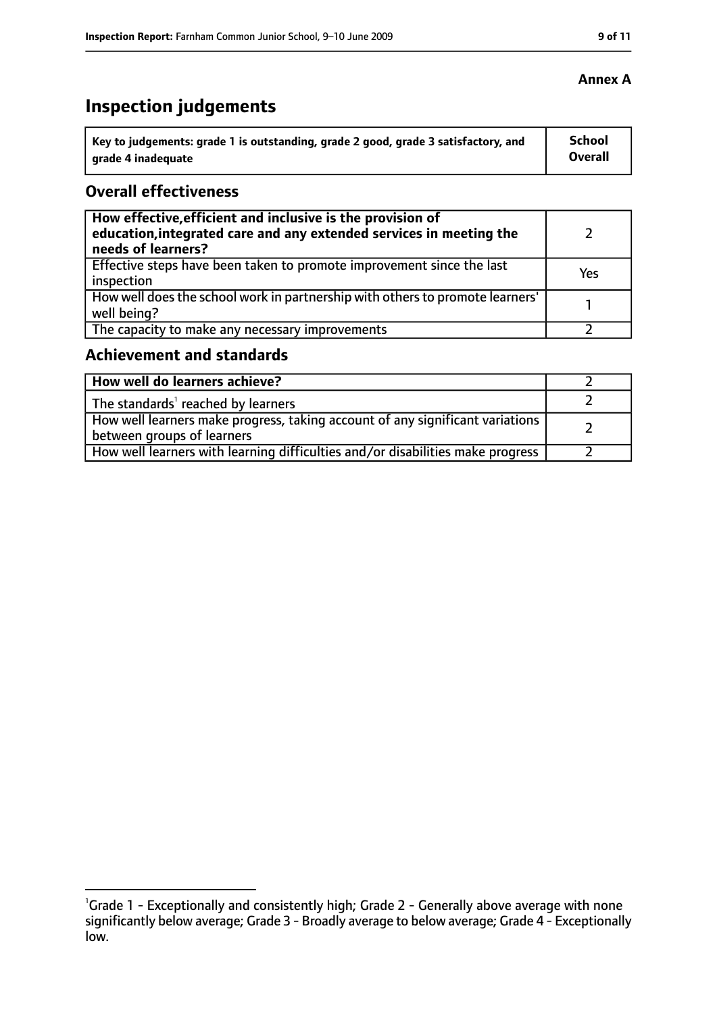# **Inspection judgements**

| Key to judgements: grade 1 is outstanding, grade 2 good, grade 3 satisfactory, and | School  |
|------------------------------------------------------------------------------------|---------|
| arade 4 inadequate                                                                 | Overall |

#### **Overall effectiveness**

| How effective, efficient and inclusive is the provision of<br>education, integrated care and any extended services in meeting the<br>needs of learners? |     |
|---------------------------------------------------------------------------------------------------------------------------------------------------------|-----|
| Effective steps have been taken to promote improvement since the last<br>inspection                                                                     | Yes |
| How well does the school work in partnership with others to promote learners'<br>well being?                                                            |     |
| The capacity to make any necessary improvements                                                                                                         |     |

## **Achievement and standards**

| How well do learners achieve?                                                                                 |  |
|---------------------------------------------------------------------------------------------------------------|--|
| $\vert$ The standards <sup>1</sup> reached by learners                                                        |  |
| How well learners make progress, taking account of any significant variations  <br>between groups of learners |  |
| How well learners with learning difficulties and/or disabilities make progress                                |  |

<sup>&</sup>lt;sup>1</sup>Grade 1 - Exceptionally and consistently high; Grade 2 - Generally above average with none significantly below average; Grade 3 - Broadly average to below average; Grade 4 - Exceptionally low.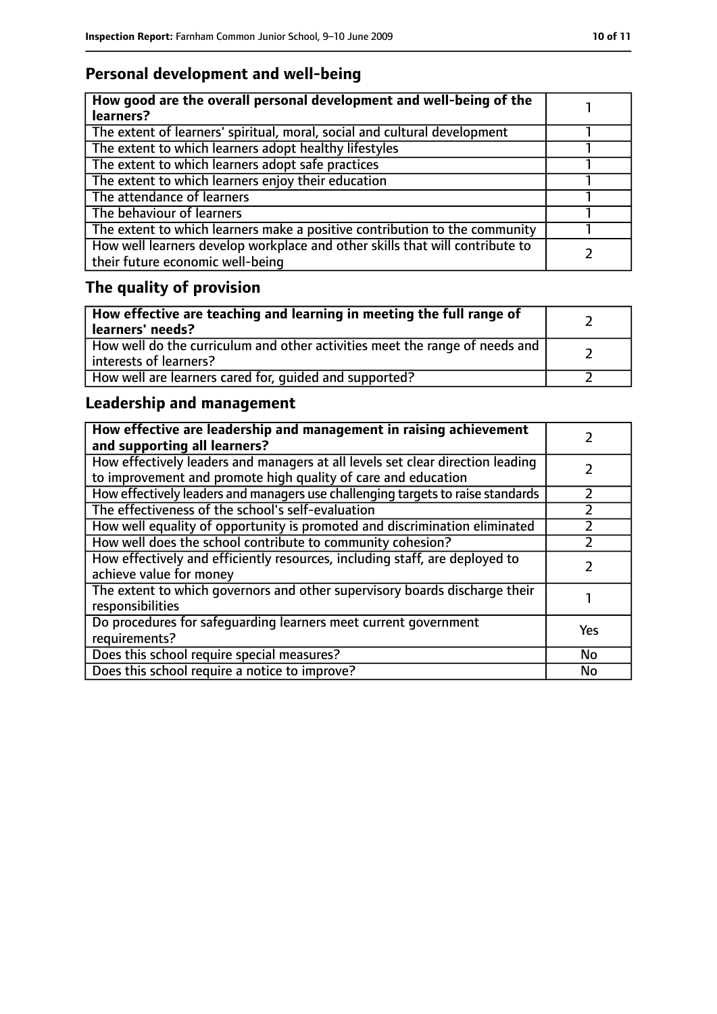# **Personal development and well-being**

| How good are the overall personal development and well-being of the<br>learners?                                 |  |
|------------------------------------------------------------------------------------------------------------------|--|
| The extent of learners' spiritual, moral, social and cultural development                                        |  |
| The extent to which learners adopt healthy lifestyles                                                            |  |
| The extent to which learners adopt safe practices                                                                |  |
| The extent to which learners enjoy their education                                                               |  |
| The attendance of learners                                                                                       |  |
| The behaviour of learners                                                                                        |  |
| The extent to which learners make a positive contribution to the community                                       |  |
| How well learners develop workplace and other skills that will contribute to<br>their future economic well-being |  |

# **The quality of provision**

| How effective are teaching and learning in meeting the full range of<br>learners' needs?              |  |
|-------------------------------------------------------------------------------------------------------|--|
| How well do the curriculum and other activities meet the range of needs and<br>interests of learners? |  |
| How well are learners cared for, quided and supported?                                                |  |

# **Leadership and management**

| How effective are leadership and management in raising achievement<br>and supporting all learners?                                              |     |
|-------------------------------------------------------------------------------------------------------------------------------------------------|-----|
| How effectively leaders and managers at all levels set clear direction leading<br>to improvement and promote high quality of care and education |     |
| How effectively leaders and managers use challenging targets to raise standards                                                                 |     |
| The effectiveness of the school's self-evaluation                                                                                               |     |
| How well equality of opportunity is promoted and discrimination eliminated                                                                      |     |
| How well does the school contribute to community cohesion?                                                                                      |     |
| How effectively and efficiently resources, including staff, are deployed to<br>achieve value for money                                          |     |
| The extent to which governors and other supervisory boards discharge their<br>responsibilities                                                  |     |
| Do procedures for safeguarding learners meet current government<br>requirements?                                                                | Yes |
| Does this school require special measures?                                                                                                      | No  |
| Does this school require a notice to improve?                                                                                                   | No  |